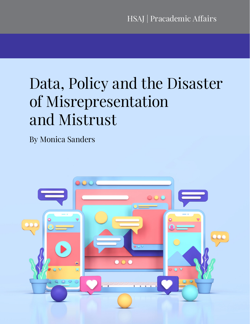# Data, Policy and the Disaster of Misrepresentation and Mistrust

By Monica Sanders

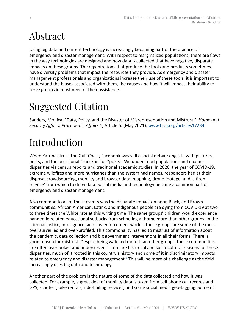#### Abstract

Using big data and current technology is increasingly becoming part of the practice of emergency and disaster management. With respect to marginalized populations, there are flaws in the way technologies are designed and how data is collected that have negative, disparate impacts on these groups. The organizations that produce the tools and products sometimes have diversity problems that impact the resources they provide. As emergency and disaster management professionals and organizations increase their use of these tools, it is important to understand the biases associated with them, the causes and how it will impact their ability to serve groups in most need of their assistance.

## Suggested Citation

Sanders, Monica. "Data, Policy, and the Disaster of Misrepresentation and Mistrust." *Homeland Security Affairs: Pracademic Affairs* 1, Article 6. (May 2021). [www.hsaj.org/articles17234](http://www.hsaj.org/articles17234).

## Introduction

When Katrina struck the Gulf Coast, Facebook was still a social networking site with pictures, posts, and the occasional "check-in" or "poke." We understood populations and income disparities via census reports and traditional academic studies. In 2020, the year of COVID-19, extreme wildfires and more hurricanes than the system had names, responders had at their disposal crowdsourcing, mobility and browser data, mapping, drone footage, and 'citizen science' from which to draw data. Social media and technology became a common part of emergency and disaster management.

Also common to all of these events was the disparate impact on poor, Black, and Brown communities. African American, Latinx, and Indigenous people are dying from COVID-19 at two to three times the White rate at this writing time. The same groups' children would experience pandemic-related educational setbacks from schooling at home more than other groups. In the criminal justice, intelligence, and law enforcement worlds, these groups are some of the most over surveilled and over-profiled. This commonality has led to mistrust of information about the pandemic, data collection and big government interventions in all their forms. There is good reason for mistrust. Despite being watched more than other groups, these communities are often overlooked and underserved. There are historical and socio-cultural reasons for these disparities, much of it rooted in this country's history and some of it in discriminatory impacts related to emergency and disaster management.**[1](#page-9-0)** This will be more of a challenge as the field increasingly uses big data and technology.

Another part of the problem is the nature of some of the data collected and how it was collected. For example, a great deal of mobility data is taken from cell phone call records and GPS, scooters, bike rentals, ride-hailing services, and some social media geo-tagging. Some of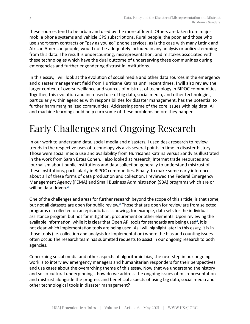<span id="page-2-0"></span>these sources tend to be urban and used by the more affluent. Others are taken from major mobile phone systems and vehicle GPS subscriptions. Rural people, the poor, and those who use short-term contracts or "pay as you go" phone services, as is the case with many Latinx and African American people, would not be adequately included in any analysis or policy stemming from this data. The result is undercounting, misrepresentation, and mistakes associated with these technologies which have the dual outcome of underserving these communities during emergencies and further engendering distrust in institutions.

In this essay, I will look at the evolution of social media and other data sources in the emergency and disaster management field from Hurricane Katrina until recent times. I will also review the larger context of oversurveillance and sources of mistrust of technology in BIPOC communities. Together, this evolution and increased use of big data, social media, and other technologies, particularly within agencies with responsibilities for disaster management, has the potential to further harm marginalized communities. Addressing some of the core issues with big data, AI and machine learning could help curb some of these problems before they happen.

## Early Challenges and Ongoing Research

In our work to understand data, social media and disasters, I used desk research to review trends in the respective uses of technology vis a vis several points in time in disaster history. Those were social media use and availability from Hurricanes Katrina versus Sandy as illustrated in the work from Sarah Estes Cohen. I also looked at research, Internet trade resources and journalism about public institutions and data collection generally to understand mistrust of these institutions, particularly in BIPOC communities. Finally, to make some early inferences about all of these forms of data production and collection, I reviewed the Federal Emergency Management Agency (FEMA) and Small Business Administration (SBA) programs which are or will be data driven.**[2](#page-9-0)**

One of the challenges and areas for further research beyond the scope of this article, is that some, but not all datasets are open for public review.<sup>[3](#page-9-0)</sup> Those that are open for review are from selected programs or collected on an episodic basis showing, for example, data sets for the individual assistance program but not for mitigation, procurement or other elements. Upon reviewing the available information, while it is clear that Open API tools for standards are being used<sup>[4](#page-9-0)</sup>, it is not clear which implementation tools are being used. As I will highlight later in this essay, it is in those tools (i.e. collection and analysis for implementation) where the bias and counting issues often occur. The research team has submitted requests to assist in our ongoing research to both agencies.

Concerning social media and other aspects of algorithmic bias, the next step in our ongoing work is to interview emergency managers and humanitarian responders for their perspectives and use cases about the overarching theme of this essay. Now that we understand the history and socio-cultural underpinnings, how do we address the ongoing issues of misrepresentation and mistrust alongside the progress and beneficial aspects of using big data, social media and other technological tools in disaster management?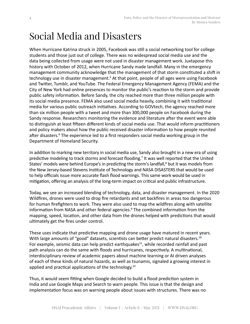#### <span id="page-3-0"></span>Social Media and Disasters

When Hurricane Katrina struck in 2005, Facebook was still a social networking tool for college students and those just out of college. There was no widespread social media use and the data being collected from usage were not used in disaster management work. Juxtapose this history with October of 2012, when Hurricane Sandy made landfall. Many in the emergency management community acknowledge that the management of that storm constituted a shift in technology use in disaster management.<sup>[5](#page-9-0)</sup> At that point, people of all ages were using Facebook and Twitter, Tumblr, and YouTube. The Federal Emergency Management Agency (FEMA) and the City of New York had online presences to monitor the public's reaction to the storm and provide public safety information. Before Sandy, the city reached more than three million people with its social media presence. FEMA also used social media heavily, combining it with traditional media for various public outreach initiatives. According to GOVtech, the agency reached more than six million people with a tweet and more than 300,000 people on Facebook during the Sandy response. Researchers monitoring the evidence and literature after the event were able to distinguish at least fifteen different kinds of social media use. That would inform practitioners and policy makers about how the public received disaster information to how people reunited after disasters.<sup>[6](#page-9-0)</sup> The experience led to a first responders social media working group in the Department of Homeland Security.

In addition to marking new territory in social media use, Sandy also brought in a new era of using predictive modeling to track storms and forecast flooding.<sup>[7](#page-9-0)</sup> It was well reported that the United States' models were behind Europe's in predicting the storm's landfall,**[8](#page-9-0)** but it was models from the New Jersey-based Stevens Institute of Technology and NASA DISASTERS that would be used to help officials issue more accurate flash flood warnings. This same work would be used in mitigation, offering an analysis of the long-term impact on critical and public infrastructure.

Today, we see an increased blending of technology, data, and disaster management. In the 2020 Wildfires, drones were used to drop fire retardants and set backfires in areas too dangerous for human firefighters to work. They were also used to map the wildfires along with satellite information from NASA and other federal agencies.**[9](#page-9-0)** The combined information from the mapping, speed, location, and other data from the drones helped with predictions that would ultimately get the fires under control.

These uses indicate that predictive mapping and drone usage have matured in recent years. With large amounts of "good" datasets, scientists can better predict natural disasters.**[10](#page-9-0)** For example, seismic data can help predict earthquakes<sup>[11](#page-9-0)</sup>, while recorded rainfall and past path analysis can do the same with floods and hurricanes, respectively. A multinational, interdisciplinary review of academic papers about machine learning or AI driven analyses of each of these kinds of natural hazards, as well as tsunamis, signaled a growing interest in applied and practical applications of the technology.**[12](#page-9-0)**

Thus, it would seem fitting when Google decided to build a flood prediction system in India and use Google Maps and Search to warn people. This issue is that the design and implementation focus was on warning people about issues with structures. There was no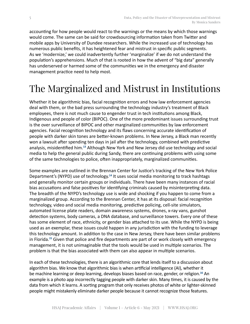<span id="page-4-0"></span>accounting for how people would react to the warnings or the means by which those warnings would come. The same can be said for crowdsourcing information taken from Twitter and mobile apps by University of Dundee researchers. While the increased use of technology has numerous public benefits, it has heightened fear and mistrust in specific public segments. As we 'modernize,' we could inadvertently further 'marginalize' if we do not understand the population's apprehensions. Much of that is rooted in how the advent of "big data" generally has underserved or harmed some of the communities we in the emergency and disaster management practice need to help most.

## The Marginalized and Mistrust in Institutions

Whether it be algorithmic bias, facial recognition errors and how law enforcement agencies deal with them, or the bad press surrounding the technology industry's treatment of Black employees, there is not much cause to engender trust in tech institutions among Black, Indigenous and people of color (BIPOC). One of the more predominant issues surrounding trust is the over surveillance of BIPOC and other marginalized communities by law enforcement agencies. Facial recognition technology and its flaws concerning accurate identification of people with darker skin tones are better-known problems. In New Jersey, a Black man recently won a lawsuit after spending ten days in jail after the technology, combined with predictive analysis, misidentified him.**[13](#page-9-0)** Although New York and New Jersey did use technology and social media to help the general public during Sandy, there are continuing problems with using some of the same technologies to police, often inappropriately, marginalized communities.

Some examples are outlined in the Brennan Center for Justice's tracking of the New York Police Department's (NYPD) use of technology.**[14](#page-9-0)** It uses social media monitoring to track hashtags and generally monitor certain groups or individuals. There have been many instances of racial bias accusations and false positives for identifying criminals caused by misinterpreting data. The breadth of the NYPD's technology use is wide and shocking if you happen to come from a marginalized group. According to the Brennan Center, it has at its disposal: facial recognition technology, video and social media monitoring, predictive policing, cell-site simulators, automated license plate readers, domain awareness systems, drones, x-ray vans, gunshot detection systems, body cameras, a DNA database, and surveillance towers. Every one of these has some element of race, ethnicity, or gender bias attached to its use. While the NYPD is being used as an exemplar, these issues could happen in any jurisdiction with the funding to leverage this technology amount. In addition to the case in New Jersey, there have been similar problems in Florida.**[15](#page-9-0)** Given that police and fire departments are part of or work closely with emergency management, it is not unimaginable that the tools would be used in multiple scenarios. The problem is that the bias associated with them can also appear in multiple scenarios.

In each of these technologies, there is an algorithmic core that lends itself to a discussion about algorithm bias. We know that algorithmic bias is when artificial intelligence (AI), whether it be machine learning or deep learning, develops biases based on race, gender, or religion.**[16](#page-9-0)** An example is a photo app incorrectly tagging people with darker skin. Many times, it is caused by the data from which it learns. A sorting program that only receives photos of white or lighter-skinned people might mistakenly eliminate darker people because it cannot recognize those features.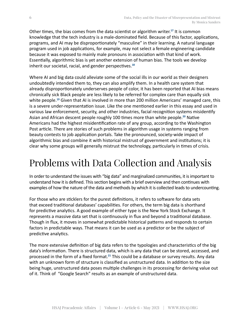<span id="page-5-0"></span>Other times, the bias comes from the data scientist or algorithm writer.**[17](#page-10-0)** It is common knowledge that the tech industry is a male-dominated field. Because of this factor, applications, programs, and AI may be disproportionately "masculine" in their learning. A natural language program used in job applications, for example, may not select a female engineering candidate because it was exposed to mainly male pronouns in association with that kind of work. Essentially, algorithmic bias is yet another extension of human bias. The tools we develop inherit our societal, racial, and gender perspectives.**[18](#page-10-0)**

Where AI and big data could alleviate some of the social ills in our world as their designers undoubtedly intended them to, they can also amplify them. In a health care system that already disproportionately underserves people of color, it has been reported that AI bias means chronically sick Black people are less likely to be referred for complex care than equally sick white people.**[19](#page-10-0)** Given that AI is involved in more than 200 million Americans' managed care, this is a severe under-representation issue. Like the one mentioned earlier in this essay and used in various law enforcement, security, and other industries, facial recognition systems misidentify Asian and African descent people roughly 100 times more than white people.**[20](#page-10-0)** Native Americans had the highest misidentification rate of any group, according to the Washington Post article. There are stories of such problems in algorithm usage in systems ranging from beauty contests to job application portals. Take the pronounced, society-wide impact of algorithmic bias and combine it with historical mistrust of government and institutions; it is clear why some groups will generally mistrust the technology, particularly in times of crisis.

## Problems with Data Collection and Analysis

In order to understand the issues with "big data" and marginalized communities, it is important to understand how it is defined. This section begins with a brief overview and then continues with examples of how the nature of the data and methods by which it is collected leads to undercounting.

For those who are sticklers for the purest definitions, it refers to software for data sets that exceed traditional databases' capabilities. For others, the term big data is shorthand for predictive analytics. A good example of either type is the New York Stock Exchange. It represents a massive data set that is continuously in flux and beyond a traditional database. Though in flux, it moves in somewhat predictable historical patterns and responds to certain factors in predictable ways. That means it can be used as a predictor or be the subject of predictive analytics.

The more extensive definition of big data refers to the typologies and characteristics of the big data's information. There is structured data, which is any data that can be stored, accessed, and processed in the form of a fixed format.**[21](#page-10-0)** This could be a database or survey results. Any data with an unknown form of structure is classified as unstructured data. In addition to the size being huge, unstructured data poses multiple challenges in its processing for deriving value out of it. Think of "Google Search" results as an example of unstructured data.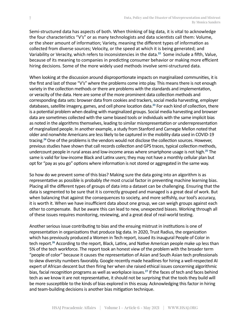<span id="page-6-0"></span>Semi-structured data has aspects of both. When thinking of big data, it is vital to acknowledge the four characteristics "V's" or as many technologists and data scientists call them: Volume, or the sheer amount of information; Variety, meaning the different types of information as collected from diverse sources; Velocity, or the speed at which it is being generated; and Variability or Veracity, which refers to inconsistencies in the data.**[22](#page-10-0)** Some include a fifth, Value, because of its meaning to companies in predicting consumer behavior or making more efficient hiring decisions. Some of the more widely used methods involve semi-structured data.

When looking at the discussion around disproportionate impacts on marginalized communities, it is the first and last of those "V's" where the problems come into play. This means there is not enough variety in the collection methods or there are problems with the standards and implementation, or veracity of the data. Here are some of the more prominent data collection methods and corresponding data sets: browser data from cookies and trackers, social media harvesting, employer databases, satellite imagery, games, and cell phone location data.**[23](#page-10-0)** For each kind of collection, there is a potential problem when dealing with marginalized groups. Social media harvesting and browser data are sometimes collected with the same biased tools or individuals with the same implicit bias as noted in the algorithms themselves, leading to similar misrepresentation or underrepresentation of marginalized people. In another example, a study from Stanford and Carnegie Mellon noted that older and nonwhite Americans are less likely to be captured in the mobility data used in COVID-19 tracing.**[24](#page-10-0)** One of the problems is the vendors would not disclose the collection sources. However, previous studies have shown that call records collection and GPS traces, typical collection methods, undercount people in rural areas and low-income areas where smartphone usage is not high.**[25](#page-10-0)** The same is valid for low-income Black and Latinx users; they may not have a monthly cellular plan but opt for "pay as you go" options where information is not stored or aggregated in the same way.

So how do we prevent some of this bias? Making sure the data going into an algorithm is as representative as possible is probably *the* most crucial factor in preventing machine learning bias. Placing all the different types of groups of data into a dataset can be challenging. Ensuring that the data is segmented to be sure that it is correctly grouped and managed is a great deal of work. But when balancing that against the consequences to society, and more selfishly, our tool's accuracy, it is worth it. When we have insufficient data about one group, we can weigh groups against each other to compensate. But be aware this can lead to new, unexpected biases. Working through all of these issues requires monitoring, reviewing, and a great deal of real-world testing.

Another serious issue contributing to bias and the ensuing mistrust in institutions is one of representation in organizations that produce big data. In 2020, Trust Radius, the organization which has previously produced a Women in Tech report, issued its inaugural People of Color in tech report.**[26](#page-10-0)** According to the report, Black, Latinx, and Native American people make up less than 5% of the tech workforce. The report took an honest view of the problem with the broader term "people of color" because it causes the representation of Asian and South Asian tech professionals to skew diversity numbers favorably. Google recently made headlines for hiring a well-respected AI expert of African descent but then firing her when she raised ethical issues concerning algorithmic bias, facial recognition programs as well as workplace issues.**[27](#page-10-0)** If the faces of tech and faces behind tech as we know it are not representative, it should not be surprising that the tools they build will be more susceptible to the kinds of bias explored in this essay. Acknowledging this factor in hiring and team-building decisions is another bias mitigation technique.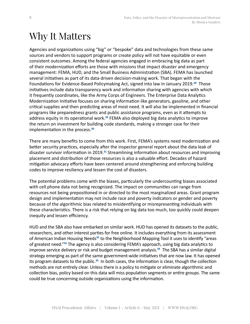#### <span id="page-7-0"></span>Why It Matters

Agencies and organizations using "big" or "bespoke" data and technologies from these same sources and vendors to support programs or create policy will not have equitable or even consistent outcomes. Among the federal agencies engaged in embracing big data as part of their modernization efforts are those with missions that impact disaster and emergency management: FEMA, HUD, and the Small Business Administration (SBA). FEMA has launched several initiatives as part of its data-driven decision-making work. That began with the Foundations for Evidence-Based Policymaking Act, signed into law in January 2019.**[28](#page-10-0)** Those initiatives include data transparency work and information sharing with agencies with which it frequently coordinates, like the Army Corps of Engineers. The Enterprise Data Analytics Modernization Initiative focuses on sharing information like generators, gasoline, and other critical supplies and then predicting areas of most need. It will also be implemented in financial programs like preparedness grants and public assistance programs, even as it attempts to address equity in its operational work.**[29](#page-10-0)** FEMA also deployed big data analytics to improve the return on investment for building code standards, making a stronger case for their implementation in the process.**[30](#page-10-0)**

There are many benefits to come from this work. First, FEMA's systems need modernization and better security practices, especially after the inspector general report about the data leak of disaster survivor information in 2019.**[31](#page-10-0)** Streamlining information about resources and improving placement and distribution of those resources is also a valuable effort. Decades of hazard mitigation advocacy efforts have been centered around strengthening and enforcing building codes to improve resiliency and lessen the cost of disasters.

The potential problems come with the biases, particularly the undercounting biases associated with cell phone data not being recognized. The impact on communities can range from resources not being prepositioned in or directed to the most marginalized areas. Grant program design and implementation may not include race and poverty indicators or gender and poverty because of the algorithmic bias related to misidentifying or misrepresenting individuals with these characteristics. There is a risk that relying on big data too much, too quickly could deepen inequity and lessen efficiency.

HUD and the SBA also have embarked on similar work. HUD has opened its datasets to the public, researchers, and other interest parties for free online. It includes everything from its assessment of American Indian Housing Needs**[32](#page-10-0)** to the Neighborhood Mapping Tool it uses to identify "areas of greatest need."**[33](#page-10-0)** The agency is also considering FEMA's approach, using big data analytics to improve service delivery or risk and budget management analysis.**[34](#page-11-0)** The SBA has a similar digital strategy emerging as part of the same government-wide initiatives that are now law. It has opened its program datasets to the public.**[35](#page-11-0)** In both cases, the information is clear, though the collection methods are not entirely clear. Unless there is a policy to mitigate or eliminate algorithmic and collection bias, policy based on this data will miss population segments or entire groups. The same could be true concerning outside organizations using the information.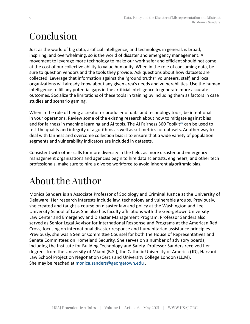#### <span id="page-8-0"></span>Conclusion

Just as the world of big data, artificial intelligence, and technology, in general, is broad, inspiring, and overwhelming, so is the world of disaster and emergency management. A movement to leverage more technology to make our work safer and efficient should not come at the cost of our collective ability to value humanity. When in the role of consuming data, be sure to question vendors and the tools they provide. Ask questions about how datasets are collected. Leverage that information against the "ground truths" volunteers, staff, and local organizations will already know about any given area's needs and vulnerabilities. Use the human intelligence to fill any potential gaps in the artificial intelligence to generate more accurate outcomes. Socialize the limitations of these tools in training by including them as factors in case studies and scenario gaming.

When in the role of being a creator or producer of data and technology tools, be intentional in your operations. Review some of the existing research about how to mitigate against bias and for fairness in machine learning and AI tools. The AI Fairness 360 Toolkit**[36](#page-11-0)** can be used to test the quality and integrity of algorithms as well as set metrics for datasets. Another way to deal with fairness and overcome collection bias is to ensure that a wide variety of population segments and vulnerability indicators are included in datasets.

Consistent with other calls for more diversity in the field, as more disaster and emergency management organizations and agencies begin to hire data scientists, engineers, and other tech professionals, make sure to hire a diverse workforce to avoid inherent algorithmic bias.

#### About the Author

Monica Sanders is an Associate Professor of Sociology and Criminal Justice at the University of Delaware. Her research interests include law, technology and vulnerable groups. Previously, she created and taught a course on disaster law and policy at the Washington and Lee University School of Law. She also has faculty affiliations with the Georgetown University Law Center and Emergency and Disaster Management Program. Professor Sanders also served as Senior Legal Advisor for International Response and Programs at the American Red Cross, focusing on international disaster response and humanitarian assistance principles. Previously, she was a Senior Committee Counsel for both the House of Representatives and Senate Committees on Homeland Security. She serves on a number of advisory boards, including the Institute for Building Technology and Safety. Professor Sanders received her degrees from the University of Miami (B.S.), the Catholic University of America (JD), Harvard Law School Project on Negotiation (Cert.) and University College London (LL.M). She may be reached at [monica.sanders@georgetown.edu](mailto:monica.sanders@georgetown.edu) .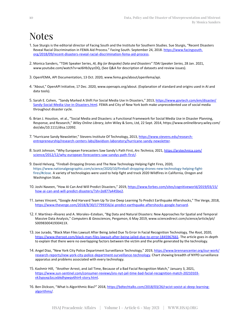#### <span id="page-9-0"></span>Notes

- 1. Sue Sturgis is the editorial director of Facing South and the Institute for Southern Studies. Sue Sturgis, "Recent Disasters Reveal Racial Discrimination in FEMA Aid Process." Facing South. September 24, 2018. [https://www.facingsouth.](https://www.facingsouth.org/2018/09/recent-disasters-reveal-racial-discrimination-fema-aid-process) [org/2018/09/recent-disasters-reveal-racial-discrimination-fema-aid-process](https://www.facingsouth.org/2018/09/recent-disasters-reveal-racial-discrimination-fema-aid-process).
- [2](#page-2-0). Monica Sanders, "TDAI Speaker Series, *AI, Big (or Bespoke) Data and Disasters" TDAI Speaker Series*, 28 Jan. 2021, www.youtube.com/watch?v=wJ6Hb3yyzOQ, (See Q&A for description of datasets and review issues).
- [3](#page-2-0). OpenFEMA, API Documentation, 13 Oct. 2020, www.fema.gov/about/openfema/api.
- [4](#page-2-0). "About," OpenAPI Initiative, 17 Dec. 2020, www.openapis.org/about. (Explanation of standard and origins used in AI and data tools).
- [5](#page-3-0). Sarah E. Cohen, "Sandy Marked A Shift For Social Media Use In Disasters," 2013, [https://www.govtech.com/em/disaster/](https://www.govtech.com/em/disaster/Sandy-Social-Media-Use-in-Disasters.html) [Sandy-Social-Media-Use-in-Disasters.html](https://www.govtech.com/em/disaster/Sandy-Social-Media-Use-in-Disasters.html). FEMA and City of New York both make unprecedented use of social media throughout disaster cycle.
- [6](#page-3-0). Brian J. Houston, et al., "Social Media and Disasters: a Functional Framework for Social Media Use in Disaster Planning, Response, and Research," *Wiley Online Library*, John Wiley & Sons, Ltd, 22 Sept. 2014, https://www.onlinelibrary.wiley.com/ doi/abs/10.1111/disa.12092.
- [7](#page-3-0). "Hurricane Sandy Newsletter," Stevens Institute Of Technology, 2013, [https://www.stevens.edu/research](https://www.stevens.edu/research-entrepreneurship/research-centers-labs/davidson-laboratory/hurricane-sandy-newsletter)[entrepreneurship/research-centers-labs/davidson-laboratory/hurricane-sandy-newsletter](https://www.stevens.edu/research-entrepreneurship/research-centers-labs/davidson-laboratory/hurricane-sandy-newsletter).
- [8](#page-3-0). Scott Johnson, "Why European Forecasters Saw Sandy's Path First, *Ars Technica*, 2021, [https://arstechnica.com/](https://arstechnica.com/science/2012/12/why-european-forecasters-saw-sandys-path-first/) [science/2012/12/why-european-forecasters-saw-sandys-path-first/](https://arstechnica.com/science/2012/12/why-european-forecasters-saw-sandys-path-first/).
- [9](#page-3-0). David Helvarg, "Fireball-Dropping Drones and The New Technology Helping Fight Fires, 2020, [https://www.nationalgeographic.com/science/2020/10/fireball-dropping-drones-new-technology-helping-fight](https://www.nationalgeographic.com/science/2020/10/fireball-dropping-drones-new-technology-helping-fight-fires/#close.A)[fires/#close.](https://www.nationalgeographic.com/science/2020/10/fireball-dropping-drones-new-technology-helping-fight-fires/#close.A) A variety of technologies were used to help fight and track 2020 Wildfires in California, Oregon and Washington State.
- [10](#page-3-0). Joshi Naveen, "How AI Can And Will Predict Disasters," 2019, [https://www.forbes.com/sites/cognitiveworld/2019/03/15/](https://www.forbes.com/sites/cognitiveworld/2019/03/15/how-ai-can-and-will-predict-disasters/?sh=2e877a445be2) [how-ai-can-and-will-predict-disasters/?sh=2e877a445be2](https://www.forbes.com/sites/cognitiveworld/2019/03/15/how-ai-can-and-will-predict-disasters/?sh=2e877a445be2).
- [11](#page-3-0). James Vincent, "Google And Harvard Team Up To Use Deep Learning To Predict Earthquake Aftershocks," The Verge, 2018, <https://www.theverge.com/2018/8/30/17799356/ai-predict-earthquake-aftershocks-google-harvard>.
- [12](#page-3-0). F. Martínez–Álvarez and A. Morales–Esteban, "Big Data and Natural Disasters: New Approaches for Spatial and Temporal Massive Data Analysis," *Computers & Geosciences*, Pergamon, 6 May 2019, www.sciencedirect.com/science/article/pii/ S009830041930411X.
- [13](#page-4-0). Joe Jurado, "Black Man Files Lawsuit After Being Jailed Due To Error In Facial Recognition Technology, *The Root*, 2020, <https://www.theroot.com/black-man-files-lawsuit-after-being-jailed-due-to-error-1845967661>. The article goes in-depth to explain that there were no overlapping factors between the victim and the profile generated by the technology.
- [14](#page-4-0). Angel Diaz, "New York City Police Department Surveillance Technology," 2019, [https://www.brennancenter.org/our-work/](https://www.brennancenter.org/our-work/research-reports/new-york-city-police-department-surveillance-technology) [research-reports/new-york-city-police-department-surveillance-technology.](https://www.brennancenter.org/our-work/research-reports/new-york-city-police-department-surveillance-technology) Chart showing breadth of NYPD surveillance apparatus and problems associated with every technology.
- [15](#page-4-0). Kashmir Hill, "Another Arrest, and Jail Time, Because of a Bad Facial Recognition Match," January 3, 2021, [https://www.sun-sentinel.com/consumer-reviews/sns-nyt-jail-time-bad-facial-recognition-match-20210103](https://www.sun-sentinel.com/consumer-reviews/sns-nyt-jail-time-bad-facial-recognition-match-20210103-vk3ypyxp3zczxbkdhpwqv6hir4-story.html) [vk3ypyxp3zczxbkdhpwqv6hir4-story.html](https://www.sun-sentinel.com/consumer-reviews/sns-nyt-jail-time-bad-facial-recognition-match-20210103-vk3ypyxp3zczxbkdhpwqv6hir4-story.html).
- [16](#page-4-0). Ben Dickson, "What Is Algorithmic Bias?" 2018, [https://bdtechtalks.com/2018/03/26/racist-sexist-ai-deep-learning](https://bdtechtalks.com/2018/03/26/racist-sexist-ai-deep-learning-algorithms/)[algorithms/](https://bdtechtalks.com/2018/03/26/racist-sexist-ai-deep-learning-algorithms/).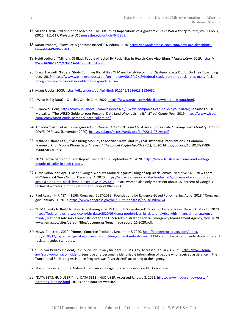- <span id="page-10-0"></span>[17](#page-5-0). Megan Garcia, "Racist in the Machine: The Disturbing Implications of Algorithmic Bias," *World Policy Journal*, vol. 33 no. 4, (2016): 111-117; *Project MUSE* [muse.jhu.edu/article/645268](https://muse.jhu.edu/article/645268).
- [18](#page-5-0). Karan Praharaj, "How Are Algorithms Biased?" Medium, 2020, [https://towardsdatascience.com/how-are-algorithms](https://towardsdatascience.com/how-are-algorithms-biased-8449406aaa83)[biased-8449406aaa83](https://towardsdatascience.com/how-are-algorithms-biased-8449406aaa83).
- [19](#page-5-0). Heidi Ledford, "Millions Of Black People Affected By Racial Bias In Health-Care Algorithms," *Nature.Com,* 2019, [https://](https://www.nature.com/articles/d41586-019-03228-6) [www.nature.com/articles/d41586-019-03228-6](https://www.nature.com/articles/d41586-019-03228-6).
- [20](#page-5-0). Drew Harwell, "Federal Study Confirms Racial Bias Of Many Facial-Recognition Systems, Casts Doubt On Their Expanding Use," 2019, [https://www.washingtonpost.com/technology/2019/12/19/federal-study-confirms-racial-bias-many-facial](https://www.washingtonpost.com/technology/2019/12/19/federal-study-confirms-racial-bias-many-facial-recognition-systems-casts-doubt-their-expanding-use/)[recognition-systems-casts-doubt-their-expanding-use/](https://www.washingtonpost.com/technology/2019/12/19/federal-study-confirms-racial-bias-many-facial-recognition-systems-casts-doubt-their-expanding-use/).
- [21](#page-5-0). Adam Jacobs, 2009,<https://dl.acm.org/doi/fullHtml/10.1145/1536616.1536632>.
- [22](#page-6-0). "What Is Big Data? | Oracle", Oracle.Com, 2022, <https://www.oracle.com/big-data/what-is-big-data.html>.
- [23](#page-6-0). Villanovau.Com,<https://www.villanovau.com/resources/bi/6-ways-companies-can-collect-your-data/>; See also Louise Matsakis, "The WIRED Guide to Your Personal Data (and Who Is Using It," *Wired. Conde Nast,* 2019, [https://www.wired.](https://www.wired.com/story/wired-guide-personal-data-collection/) [com/story/wired-guide-personal-data-collection/](https://www.wired.com/story/wired-guide-personal-data-collection/) .
- [24](#page-6-0). Amanda Coston et al., *Leveraging Administrative Data for Bias Audits: Assessing Disparate Coverage with Mobility Data for COVID-19 Policy*, (November 2020),<https://doi.org/https://arxiv.org/pdf/2011.07194.pdf>.
- [25](#page-6-0). Nishant Kishore et al., "Measuring Mobility to Monitor Travel and Physical Distancing Interventions: a Common Framework for Mobile Phone Data Analysis," *The Lancet Digital Health* 2 (11), (2020) https://doi.org/10.1016/s2589- 7500(20)30193-x.
- [26](#page-6-0). 2020 People of Color in Tech Report, Trust Radius, September 21, 2020, [https://www.trustradius.com/vendor-blog/](https://www.trustradius.com/vendor-blog/people-of-color-in-tech-report) [people-of-color-in-tech-report](https://www.trustradius.com/vendor-blog/people-of-color-in-tech-report).
- [27](#page-6-0). Olivia Solon, and April Glaser, "Google Workers Mobilize against Firing of Top Black Female Executive," NBCNews.com. NBCUniversal News Group. December 4, 2020. [https://www.nbcnews.com/tech/internet/google-workers-mobilize](https://www.nbcnews.com/tech/internet/google-workers-mobilize-against-firing-top-black-female-executive-n1250038)[against-firing-top-black-female-executive-n1250038](https://www.nbcnews.com/tech/internet/google-workers-mobilize-against-firing-top-black-female-executive-n1250038) Black women also only represent about .07 percent of Google's technical workers. Timnit is also the founder of Black in AI.
- [28](#page-7-0). Paul Ryan, "H.R.4174 115th Congress (2017-2018): Foundations for Evidence-Based Policymaking Act of 2018," Congress. gov. January 14, 2019.<https://www.congress.gov/bill/115th-congress/house-bill/4174>.
- [29](#page-7-0). "FEMA Looks to Build Trust in Data Sharing after IG Found It 'Overshared' Records," Federal News Network, May 13, 2020. [https://federalnewsnetwork.com/big-data/2020/05/fema-modernizes-its-data-analytics-with-financial-transparency-in](https://federalnewsnetwork.com/big-data/2020/05/fema-modernizes-its-data-analytics-with-financial-transparency-in-mind/)[mind/](https://federalnewsnetwork.com/big-data/2020/05/fema-modernizes-its-data-analytics-with-financial-transparency-in-mind/); National Advisory Council Report to the FEMA Administrator, Federal Emergency Management Agency, Nov. 2020, www.fema.gov/sites/default/files/documents/fema\_nac-report\_11-2020.pdf.
- [30](#page-7-0). News, Concrete. 2020, "Home," Concrete Products, December 7, 2020, [http://concreteproducts.com/index.](http://concreteproducts.com/index.php/2020/12/07/fema-big-data-proves-high-building-code-standards-roi/) [php/2020/12/07/fema-big-data-proves-high-building-code-standards-roi/](http://concreteproducts.com/index.php/2020/12/07/fema-big-data-proves-high-building-code-standards-roi/). FEMA conducted a nationwide study of hazard resistant codes standards.
- [31](#page-7-0). "Survivor Privacy Incident," n.d. Survivor Privacy Incident | FEMA.gov. Accessed January 3, 2021, [https://www.fema.](https://www.fema.gov/survivor-privacy-incident) [gov/survivor-privacy-incident.](https://www.fema.gov/survivor-privacy-incident) Sensitive and personally identifiable information of people who received assistance in the Transitional Sheltering Assistance Program was "overshared" according to the agency.
- [32](#page-7-0). This is the descriptor for Native Americans or Indigenous people used on HUD's website.
- [33](#page-7-0). "DATA SETS: HUD USER," n.d. DATA SETS | HUD USER, Accessed January 3, 2021. [https://www.huduser.gov/portal/](https://www.huduser.gov/portal/pdrdatas_landing.html) [pdrdatas\\_landing.html](https://www.huduser.gov/portal/pdrdatas_landing.html). HUD's open data set website.